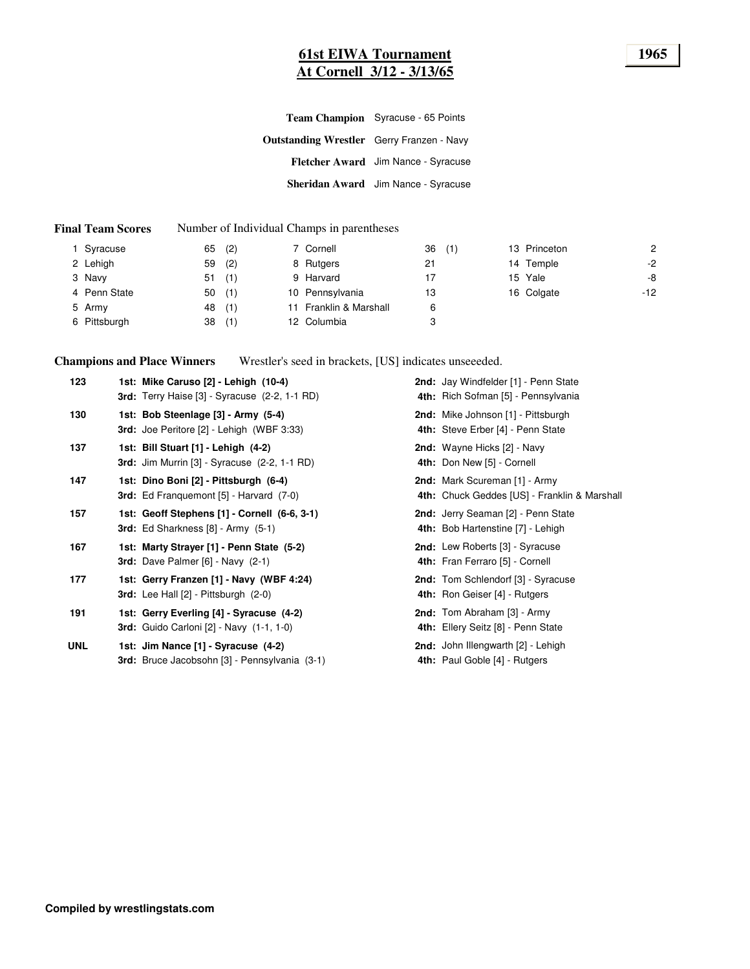### **61st EIWA Tournament 1965 At Cornell 3/12 - 3/13/65**

|                                                  | Team Champion Syracuse - 65 Points  |
|--------------------------------------------------|-------------------------------------|
| <b>Outstanding Wrestler</b> Gerry Franzen - Navy |                                     |
|                                                  | Fletcher Award Jim Nance - Syracuse |
|                                                  | Sheridan Award Jim Nance - Syracuse |

#### **Final Team Scores** Number of Individual Champs in parentheses

| I Syracuse   | 65 | (2) | 7 Cornell              | 36 | (1) | 13 Princeton | 2     |
|--------------|----|-----|------------------------|----|-----|--------------|-------|
| 2 Lehigh     | 59 | (2) | 8 Rutgers              | 21 |     | 14 Temple    | $-2$  |
| 3 Navy       | 51 | (1) | 9 Harvard              | 17 |     | 15 Yale      | -8    |
| 4 Penn State | 50 | (1) | 10 Pennsylvania        | 13 |     | 16 Colgate   | $-12$ |
| 5 Army       | 48 | (1) | 11 Franklin & Marshall | 6  |     |              |       |
| 6 Pittsburgh | 38 | (1) | 12 Columbia            | 3  |     |              |       |

**Champions and Place Winners** Wrestler's seed in brackets, [US] indicates unseeeded.

| 123        | 1st: Mike Caruso [2] - Lehigh (10-4)<br>3rd: Terry Haise [3] - Syracuse (2-2, 1-1 RD)             | 2nd: Jay Windfelder [1] - Penn State<br>4th: Rich Sofman [5] - Pennsylvania   |
|------------|---------------------------------------------------------------------------------------------------|-------------------------------------------------------------------------------|
| 130        | 1st: Bob Steenlage [3] - Army (5-4)<br>3rd: Joe Peritore [2] - Lehigh (WBF 3:33)                  | 2nd: Mike Johnson [1] - Pittsburgh<br>4th: Steve Erber [4] - Penn State       |
| 137        | 1st: Bill Stuart [1] - Lehigh (4-2)<br><b>3rd:</b> Jim Murrin $[3]$ - Syracuse $(2-2, 1-1$ RD $)$ | 2nd: Wayne Hicks [2] - Navy<br>4th: Don New [5] - Cornell                     |
| 147        | 1st: Dino Boni [2] - Pittsburgh (6-4)<br><b>3rd:</b> Ed Franquemont [5] - Harvard (7-0)           | 2nd: Mark Scureman [1] - Army<br>4th: Chuck Geddes [US] - Franklin & Marshall |
| 157        | 1st: Geoff Stephens [1] - Cornell (6-6, 3-1)<br><b>3rd:</b> Ed Sharkness $[8]$ - Army $(5-1)$     | 2nd: Jerry Seaman [2] - Penn State<br>4th: Bob Hartenstine [7] - Lehigh       |
| 167        | 1st: Marty Strayer [1] - Penn State (5-2)<br><b>3rd:</b> Dave Palmer $[6]$ - Navy $(2-1)$         | 2nd: Lew Roberts [3] - Syracuse<br>4th: Fran Ferraro [5] - Cornell            |
| 177        | 1st: Gerry Franzen [1] - Navy (WBF 4:24)<br><b>3rd:</b> Lee Hall $[2]$ - Pittsburgh $(2-0)$       | 2nd: Tom Schlendorf [3] - Syracuse<br>4th: Ron Geiser [4] - Rutgers           |
| 191        | 1st: Gerry Everling [4] - Syracuse (4-2)<br><b>3rd:</b> Guido Carloni [2] - Navy (1-1, 1-0)       | 2nd: Tom Abraham [3] - Army<br>4th: Ellery Seitz [8] - Penn State             |
| <b>UNL</b> | 1st: Jim Nance [1] - Syracuse (4-2)<br>3rd: Bruce Jacobsohn [3] - Pennsylvania (3-1)              | 2nd: John Illengwarth [2] - Lehigh<br>4th: Paul Goble [4] - Rutgers           |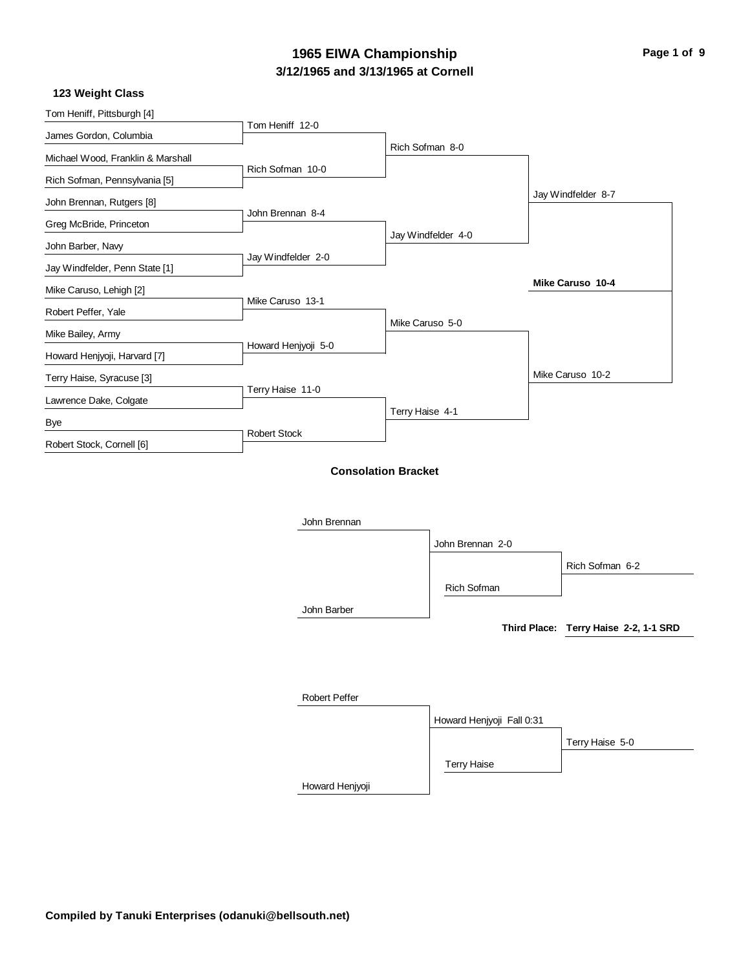### **3/12/1965 and 3/13/1965 at Cornell 1965 EIWA Championship Page 1 of 9**

#### **123 Weight Class**

| Tom Heniff, Pittsburgh [4]        |                     |                            |                           |                                       |
|-----------------------------------|---------------------|----------------------------|---------------------------|---------------------------------------|
| James Gordon, Columbia            | Tom Heniff 12-0     |                            |                           |                                       |
| Michael Wood, Franklin & Marshall |                     | Rich Sofman 8-0            |                           |                                       |
| Rich Sofman, Pennsylvania [5]     | Rich Sofman 10-0    |                            |                           |                                       |
| John Brennan, Rutgers [8]         |                     |                            |                           | Jay Windfelder 8-7                    |
| Greg McBride, Princeton           | John Brennan 8-4    |                            |                           |                                       |
| John Barber, Navy                 |                     |                            | Jay Windfelder 4-0        |                                       |
| Jay Windfelder, Penn State [1]    | Jay Windfelder 2-0  |                            |                           |                                       |
| Mike Caruso, Lehigh [2]           |                     |                            |                           | Mike Caruso 10-4                      |
| Robert Peffer, Yale               | Mike Caruso 13-1    |                            |                           |                                       |
| Mike Bailey, Army                 |                     | Mike Caruso 5-0            |                           |                                       |
| Howard Henjyoji, Harvard [7]      | Howard Henjyoji 5-0 |                            |                           |                                       |
| Terry Haise, Syracuse [3]         |                     |                            |                           | Mike Caruso 10-2                      |
| Lawrence Dake, Colgate            | Terry Haise 11-0    |                            |                           |                                       |
| Bye                               |                     | Terry Haise 4-1            |                           |                                       |
| Robert Stock, Cornell [6]         | <b>Robert Stock</b> |                            |                           |                                       |
|                                   | John Brennan        | <b>Consolation Bracket</b> | John Brennan 2-0          | Rich Sofman 6-2                       |
|                                   |                     |                            | Rich Sofman               |                                       |
|                                   | John Barber         |                            |                           |                                       |
|                                   |                     |                            |                           | Third Place: Terry Haise 2-2, 1-1 SRD |
|                                   | Robert Peffer       |                            |                           |                                       |
|                                   |                     |                            | Howard Henjyoji Fall 0:31 |                                       |
|                                   |                     |                            |                           | Terry Haise 5-0                       |
|                                   |                     |                            | <b>Terry Haise</b>        |                                       |
|                                   | Howard Henjyoji     |                            |                           |                                       |
|                                   |                     |                            |                           |                                       |
|                                   |                     |                            |                           |                                       |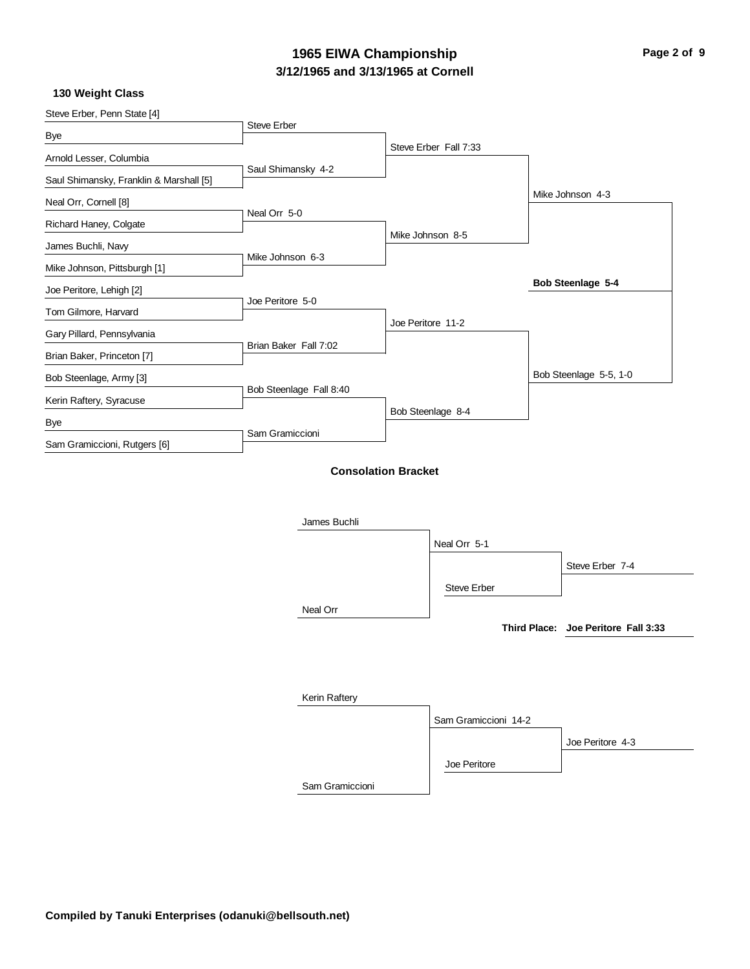### **3/12/1965 and 3/13/1965 at Cornell 1965 EIWA Championship Page 2 of 9**

**130 Weight Class**

| Steve Erber, Penn State [4]             |                                            |                   |                       |                                     |
|-----------------------------------------|--------------------------------------------|-------------------|-----------------------|-------------------------------------|
| Bye                                     | Steve Erber                                |                   |                       |                                     |
| Arnold Lesser, Columbia                 |                                            |                   | Steve Erber Fall 7:33 |                                     |
| Saul Shimansky, Franklin & Marshall [5] | Saul Shimansky 4-2                         |                   |                       |                                     |
| Neal Orr, Cornell [8]                   |                                            |                   |                       | Mike Johnson 4-3                    |
|                                         | Neal Orr 5-0                               |                   |                       |                                     |
| Richard Haney, Colgate                  |                                            |                   | Mike Johnson 8-5      |                                     |
| James Buchli, Navy                      | Mike Johnson 6-3                           |                   |                       |                                     |
| Mike Johnson, Pittsburgh [1]            |                                            |                   |                       | Bob Steenlage 5-4                   |
| Joe Peritore, Lehigh [2]                | Joe Peritore 5-0                           |                   |                       |                                     |
| Tom Gilmore, Harvard                    |                                            | Joe Peritore 11-2 |                       |                                     |
| Gary Pillard, Pennsylvania              | Brian Baker Fall 7:02                      |                   |                       |                                     |
| Brian Baker, Princeton [7]              |                                            |                   |                       |                                     |
| Bob Steenlage, Army [3]                 |                                            |                   |                       | Bob Steenlage 5-5, 1-0              |
| Kerin Raftery, Syracuse                 | Bob Steenlage Fall 8:40                    |                   |                       |                                     |
| Bye                                     |                                            |                   | Bob Steenlage 8-4     |                                     |
| Sam Gramiccioni, Rutgers [6]            | Sam Gramiccioni                            |                   |                       |                                     |
|                                         | <b>Consolation Bracket</b><br>James Buchli |                   |                       |                                     |
|                                         |                                            |                   | Neal Orr 5-1          |                                     |
|                                         |                                            |                   |                       | Steve Erber 7-4                     |
|                                         |                                            |                   | <b>Steve Erber</b>    |                                     |
|                                         | Neal Orr                                   |                   |                       |                                     |
|                                         |                                            |                   |                       | Third Place: Joe Peritore Fall 3:33 |
|                                         |                                            |                   |                       |                                     |
|                                         | Kerin Raftery                              |                   |                       |                                     |
|                                         |                                            |                   | Sam Gramiccioni 14-2  |                                     |
|                                         |                                            |                   |                       | Joe Peritore 4-3                    |
|                                         |                                            |                   | Joe Peritore          |                                     |
|                                         | Sam Gramiccioni                            |                   |                       |                                     |
|                                         |                                            |                   |                       |                                     |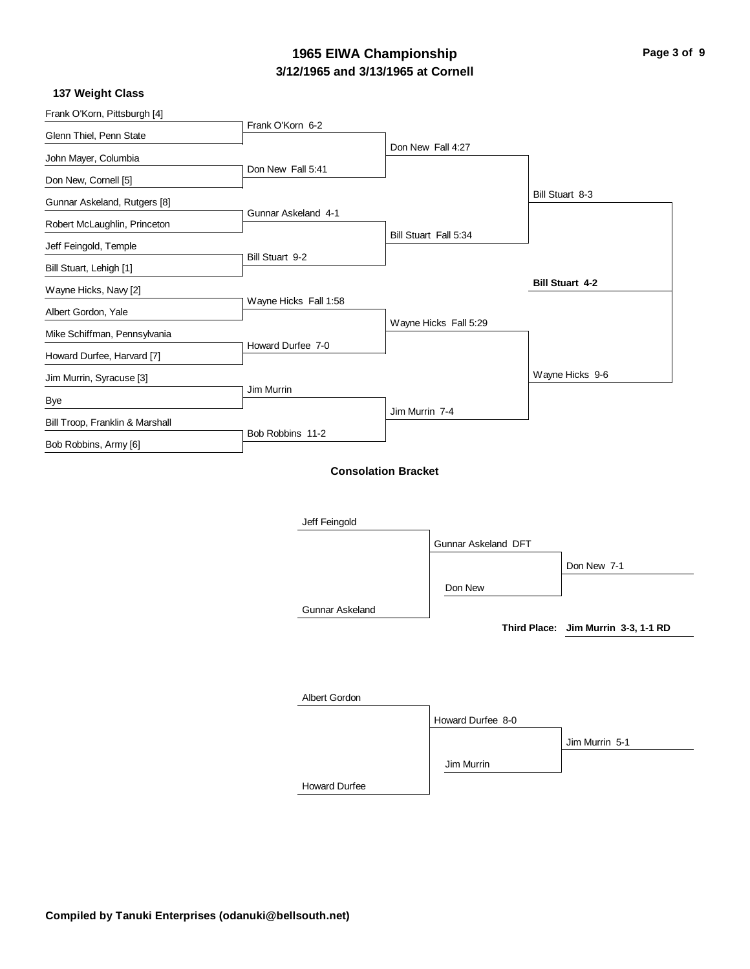### **3/12/1965 and 3/13/1965 at Cornell 1965 EIWA Championship Page 3 of 9**

#### **137 Weight Class**

| Frank O'Korn, Pittsburgh [4]    | Frank O'Korn 6-2       |                            |                       |                                     |
|---------------------------------|------------------------|----------------------------|-----------------------|-------------------------------------|
| Glenn Thiel, Penn State         |                        |                            | Don New Fall 4:27     |                                     |
| John Mayer, Columbia            | Don New Fall 5:41      |                            |                       |                                     |
| Don New, Cornell [5]            |                        |                            |                       |                                     |
| Gunnar Askeland, Rutgers [8]    |                        |                            |                       | Bill Stuart 8-3                     |
| Robert McLaughlin, Princeton    | Gunnar Askeland 4-1    |                            |                       |                                     |
| Jeff Feingold, Temple           |                        |                            | Bill Stuart Fall 5:34 |                                     |
| Bill Stuart, Lehigh [1]         | Bill Stuart 9-2        |                            |                       |                                     |
| Wayne Hicks, Navy [2]           |                        |                            |                       | <b>Bill Stuart 4-2</b>              |
| Albert Gordon, Yale             | Wayne Hicks Fall 1:58  |                            |                       |                                     |
| Mike Schiffman, Pennsylvania    |                        |                            | Wayne Hicks Fall 5:29 |                                     |
| Howard Durfee, Harvard [7]      | Howard Durfee 7-0      |                            |                       |                                     |
| Jim Murrin, Syracuse [3]        |                        |                            |                       | Wayne Hicks 9-6                     |
| Bye                             | Jim Murrin             |                            |                       |                                     |
| Bill Troop, Franklin & Marshall |                        | Jim Murrin 7-4             |                       |                                     |
| Bob Robbins, Army [6]           | Bob Robbins 11-2       |                            |                       |                                     |
|                                 |                        | <b>Consolation Bracket</b> |                       |                                     |
|                                 |                        |                            |                       |                                     |
|                                 |                        |                            |                       |                                     |
|                                 | Jeff Feingold          |                            |                       |                                     |
|                                 |                        |                            | Gunnar Askeland DFT   |                                     |
|                                 |                        |                            |                       | Don New 7-1                         |
|                                 |                        |                            | Don New               |                                     |
|                                 | <b>Gunnar Askeland</b> |                            |                       |                                     |
|                                 |                        |                            |                       | Third Place: Jim Murrin 3-3, 1-1 RD |
|                                 |                        |                            |                       |                                     |
|                                 |                        |                            |                       |                                     |
|                                 | Albert Gordon          |                            |                       |                                     |
|                                 |                        |                            | Howard Durfee 8-0     |                                     |
|                                 |                        |                            |                       | Jim Murrin 5-1                      |
|                                 |                        |                            |                       |                                     |

Howard Durfee

Jim Murrin

**Compiled by Tanuki Enterprises (odanuki@bellsouth.net)**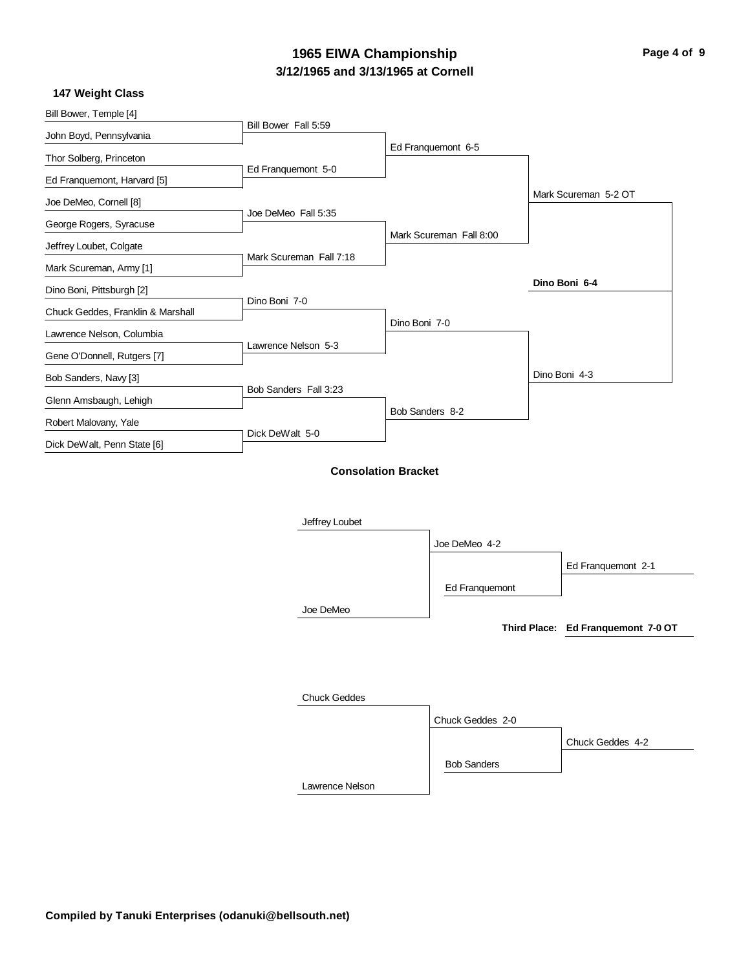### **3/12/1965 and 3/13/1965 at Cornell 1965 EIWA Championship Page 4 of 9**

**147 Weight Class**

| Bill Bower, Temple [4]            | Bill Bower Fall 5:59    |                            |                         |                                    |
|-----------------------------------|-------------------------|----------------------------|-------------------------|------------------------------------|
| John Boyd, Pennsylvania           |                         |                            |                         |                                    |
| Thor Solberg, Princeton           |                         |                            | Ed Franquemont 6-5      |                                    |
| Ed Franquemont, Harvard [5]       | Ed Franquemont 5-0      |                            |                         |                                    |
| Joe DeMeo, Cornell [8]            |                         |                            |                         | Mark Scureman 5-2 OT               |
| George Rogers, Syracuse           | Joe DeMeo Fall 5:35     |                            |                         |                                    |
| Jeffrey Loubet, Colgate           |                         |                            | Mark Scureman Fall 8:00 |                                    |
| Mark Scureman, Army [1]           | Mark Scureman Fall 7:18 |                            |                         |                                    |
| Dino Boni, Pittsburgh [2]         |                         |                            |                         | Dino Boni 6-4                      |
| Chuck Geddes, Franklin & Marshall | Dino Boni 7-0           |                            |                         |                                    |
| Lawrence Nelson, Columbia         |                         | Dino Boni 7-0              |                         |                                    |
| Gene O'Donnell, Rutgers [7]       | Lawrence Nelson 5-3     |                            |                         |                                    |
| Bob Sanders, Navy [3]             |                         |                            |                         | Dino Boni 4-3                      |
|                                   | Bob Sanders Fall 3:23   |                            |                         |                                    |
| Glenn Amsbaugh, Lehigh            |                         | Bob Sanders 8-2            |                         |                                    |
| Robert Malovany, Yale             | Dick DeWalt 5-0         |                            |                         |                                    |
| Dick DeWalt, Penn State [6]       |                         |                            |                         |                                    |
|                                   |                         | <b>Consolation Bracket</b> |                         |                                    |
|                                   |                         |                            |                         |                                    |
|                                   | Jeffrey Loubet          |                            |                         |                                    |
|                                   |                         |                            | Joe DeMeo 4-2           |                                    |
|                                   |                         |                            |                         | Ed Franquemont 2-1                 |
|                                   |                         |                            |                         |                                    |
|                                   |                         |                            | Ed Franquemont          |                                    |
|                                   | Joe DeMeo               |                            |                         | Third Place: Ed Franquemont 7-0 OT |
|                                   |                         |                            |                         |                                    |
|                                   |                         |                            |                         |                                    |
|                                   |                         |                            |                         |                                    |
|                                   | <b>Chuck Geddes</b>     |                            |                         |                                    |
|                                   |                         |                            | Chuck Geddes 2-0        |                                    |
|                                   |                         |                            |                         | Chuck Geddes 4-2                   |

Bob Sanders

Lawrence Nelson

 $\sim$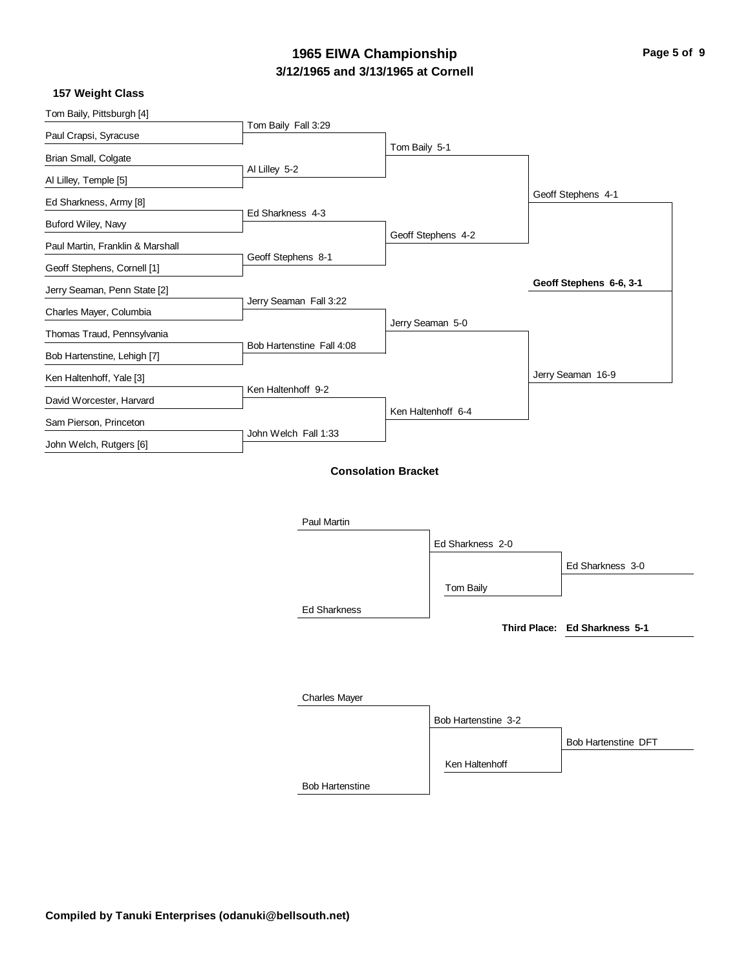### **3/12/1965 and 3/13/1965 at Cornell 1965 EIWA Championship Page 5 of 9**

 $\sim$ 

#### **157 Weight Class**

| Tom Baily, Pittsburgh [4]        | Tom Baily Fall 3:29       |                            |                    |                               |
|----------------------------------|---------------------------|----------------------------|--------------------|-------------------------------|
| Paul Crapsi, Syracuse            |                           |                            |                    |                               |
| Brian Small, Colgate             |                           | Tom Baily 5-1              |                    |                               |
| Al Lilley, Temple [5]            | Al Lilley 5-2             |                            |                    |                               |
| Ed Sharkness, Army [8]           |                           |                            |                    | Geoff Stephens 4-1            |
| Buford Wiley, Navy               | Ed Sharkness 4-3          |                            |                    |                               |
| Paul Martin, Franklin & Marshall |                           |                            | Geoff Stephens 4-2 |                               |
| Geoff Stephens, Cornell [1]      | Geoff Stephens 8-1        |                            |                    |                               |
| Jerry Seaman, Penn State [2]     |                           |                            |                    | Geoff Stephens 6-6, 3-1       |
| Charles Mayer, Columbia          | Jerry Seaman Fall 3:22    |                            |                    |                               |
| Thomas Traud, Pennsylvania       |                           |                            | Jerry Seaman 5-0   |                               |
| Bob Hartenstine, Lehigh [7]      | Bob Hartenstine Fall 4:08 |                            |                    |                               |
| Ken Haltenhoff, Yale [3]         |                           |                            |                    | Jerry Seaman 16-9             |
| David Worcester, Harvard         | Ken Haltenhoff 9-2        |                            |                    |                               |
|                                  |                           |                            | Ken Haltenhoff 6-4 |                               |
| Sam Pierson, Princeton           | John Welch Fall 1:33      |                            |                    |                               |
| John Welch, Rutgers [6]          |                           |                            |                    |                               |
|                                  |                           | <b>Consolation Bracket</b> |                    |                               |
|                                  |                           |                            |                    |                               |
|                                  | Paul Martin               |                            |                    |                               |
|                                  |                           |                            | Ed Sharkness 2-0   |                               |
|                                  |                           |                            |                    | Ed Sharkness 3-0              |
|                                  |                           |                            | Tom Baily          |                               |
|                                  |                           |                            |                    |                               |
|                                  | <b>Ed Sharkness</b>       |                            |                    | Third Place: Ed Sharkness 5-1 |
|                                  |                           |                            |                    |                               |
|                                  |                           |                            |                    |                               |
|                                  |                           |                            |                    |                               |
|                                  | <b>Charles Mayer</b>      |                            |                    |                               |

Bob Hartenstine Bob Hartenstine 3-2 Ken Haltenhoff Bob Hartenstine DFT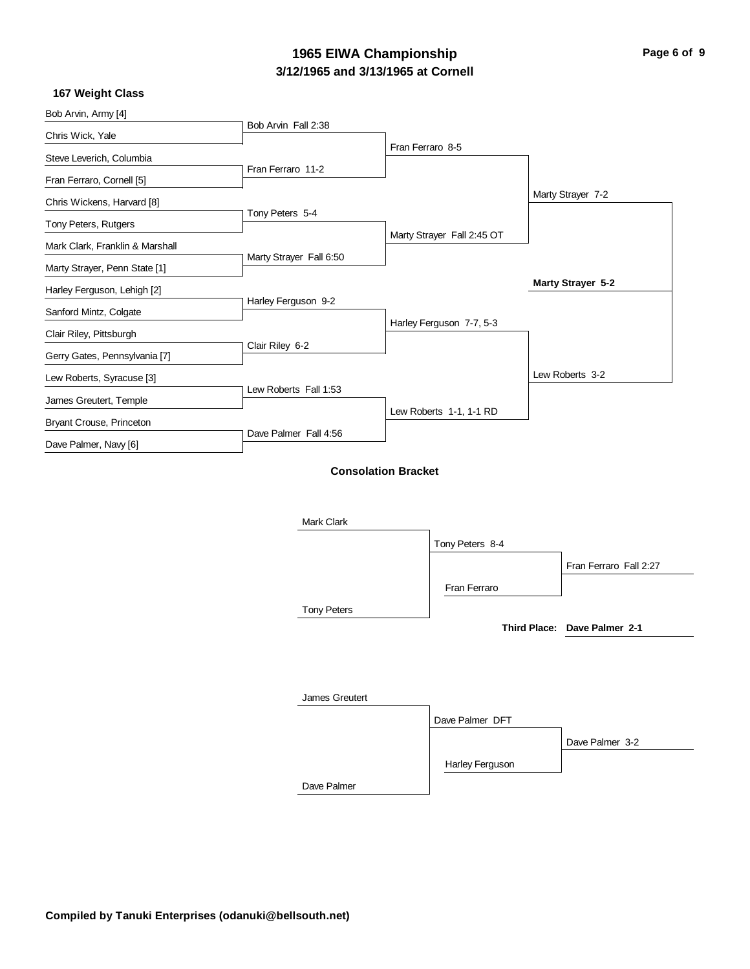### **3/12/1965 and 3/13/1965 at Cornell 1965 EIWA Championship Page 6 of 9**

 $\sim$ 

### **167 Weight Class**

| TUT WEIYIN UIASS                |                         |                            |                 |                              |
|---------------------------------|-------------------------|----------------------------|-----------------|------------------------------|
| Bob Arvin, Army [4]             |                         |                            |                 |                              |
| Chris Wick, Yale                | Bob Arvin Fall 2:38     |                            |                 |                              |
| Steve Leverich, Columbia        |                         | Fran Ferraro 8-5           |                 |                              |
| Fran Ferraro, Cornell [5]       | Fran Ferraro 11-2       |                            |                 |                              |
| Chris Wickens, Harvard [8]      |                         |                            |                 | Marty Strayer 7-2            |
| Tony Peters, Rutgers            | Tony Peters 5-4         |                            |                 |                              |
| Mark Clark, Franklin & Marshall |                         | Marty Strayer Fall 2:45 OT |                 |                              |
| Marty Strayer, Penn State [1]   | Marty Strayer Fall 6:50 |                            |                 |                              |
| Harley Ferguson, Lehigh [2]     |                         |                            |                 | Marty Strayer 5-2            |
| Sanford Mintz, Colgate          | Harley Ferguson 9-2     |                            |                 |                              |
| Clair Riley, Pittsburgh         |                         | Harley Ferguson 7-7, 5-3   |                 |                              |
| Gerry Gates, Pennsylvania [7]   | Clair Riley 6-2         |                            |                 |                              |
| Lew Roberts, Syracuse [3]       |                         |                            |                 | Lew Roberts 3-2              |
| James Greutert, Temple          | Lew Roberts Fall 1:53   |                            |                 |                              |
| Bryant Crouse, Princeton        |                         | Lew Roberts 1-1, 1-1 RD    |                 |                              |
| Dave Palmer, Navy [6]           | Dave Palmer Fall 4:56   |                            |                 |                              |
|                                 | Mark Clark              | <b>Consolation Bracket</b> |                 |                              |
|                                 |                         |                            | Tony Peters 8-4 |                              |
|                                 |                         |                            |                 | Fran Ferraro Fall 2:27       |
|                                 |                         |                            | Fran Ferraro    |                              |
|                                 | <b>Tony Peters</b>      |                            |                 |                              |
|                                 |                         |                            |                 | Third Place: Dave Palmer 2-1 |
|                                 | <b>James Greutert</b>   |                            |                 |                              |
|                                 |                         |                            | Dave Palmer DFT |                              |
|                                 |                         |                            |                 | Dave Palmer 3-2              |
|                                 |                         |                            | Harley Ferguson |                              |

Dave Palmer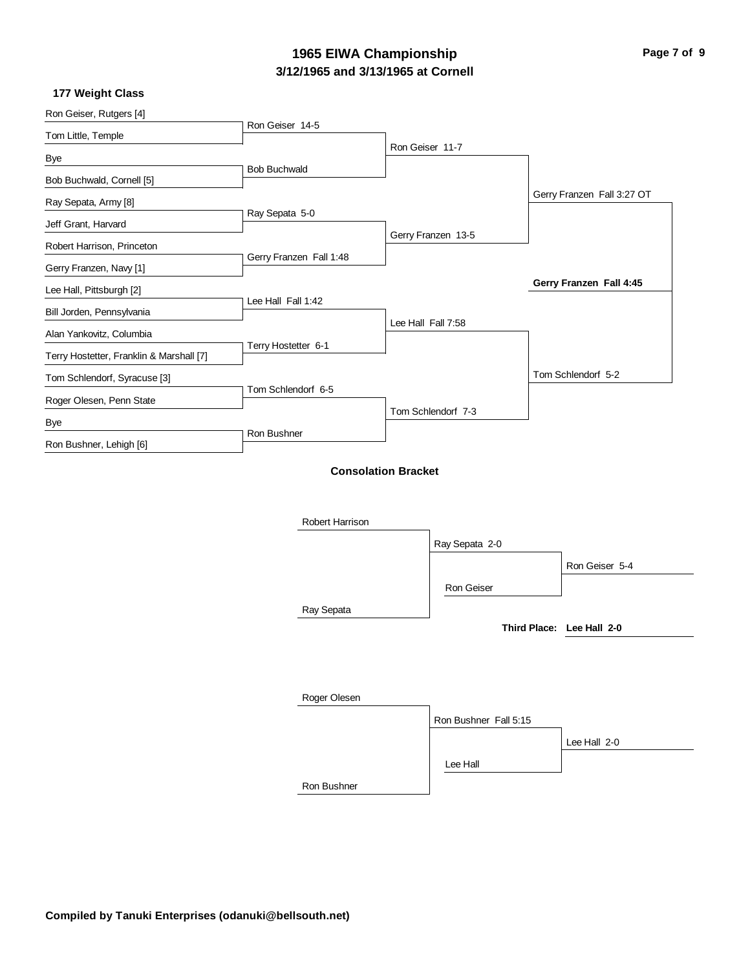# **3/12/1965 and 3/13/1965 at Cornell 1965 EIWA Championship Page 7 of 9**

### **177 Weight Class**

| Ron Geiser, Rutgers [4]                  | Ron Geiser 14-5         |                    |                       |                            |
|------------------------------------------|-------------------------|--------------------|-----------------------|----------------------------|
| Tom Little, Temple                       |                         |                    |                       |                            |
| Bye                                      |                         | Ron Geiser 11-7    |                       |                            |
| Bob Buchwald, Cornell [5]                | <b>Bob Buchwald</b>     |                    |                       |                            |
| Ray Sepata, Army [8]                     |                         |                    |                       | Gerry Franzen Fall 3:27 OT |
| Jeff Grant, Harvard                      | Ray Sepata 5-0          |                    |                       |                            |
| Robert Harrison, Princeton               |                         | Gerry Franzen 13-5 |                       |                            |
|                                          | Gerry Franzen Fall 1:48 |                    |                       |                            |
| Gerry Franzen, Navy [1]                  |                         |                    |                       | Gerry Franzen Fall 4:45    |
| Lee Hall, Pittsburgh [2]                 | Lee Hall Fall 1:42      |                    |                       |                            |
| Bill Jorden, Pennsylvania                |                         | Lee Hall Fall 7:58 |                       |                            |
| Alan Yankovitz, Columbia                 | Terry Hostetter 6-1     |                    |                       |                            |
| Terry Hostetter, Franklin & Marshall [7] |                         |                    |                       |                            |
| Tom Schlendorf, Syracuse [3]             |                         |                    |                       | Tom Schlendorf 5-2         |
| Roger Olesen, Penn State                 | Tom Schlendorf 6-5      |                    |                       |                            |
| Bye                                      |                         | Tom Schlendorf 7-3 |                       |                            |
| Ron Bushner, Lehigh [6]                  | Ron Bushner             |                    |                       |                            |
|                                          | Robert Harrison         |                    | Ray Sepata 2-0        |                            |
|                                          |                         |                    |                       | Ron Geiser 5-4             |
|                                          |                         |                    | Ron Geiser            |                            |
|                                          |                         |                    |                       |                            |
|                                          | Ray Sepata              |                    |                       | Third Place: Lee Hall 2-0  |
|                                          |                         |                    |                       |                            |
|                                          |                         |                    |                       |                            |
|                                          |                         |                    |                       |                            |
|                                          | Roger Olesen            |                    |                       |                            |
|                                          |                         |                    | Ron Bushner Fall 5:15 |                            |
|                                          |                         |                    |                       | Lee Hall 2-0               |
|                                          |                         |                    | Lee Hall              |                            |
|                                          | Ron Bushner             |                    |                       |                            |
|                                          |                         |                    |                       |                            |
|                                          |                         |                    |                       |                            |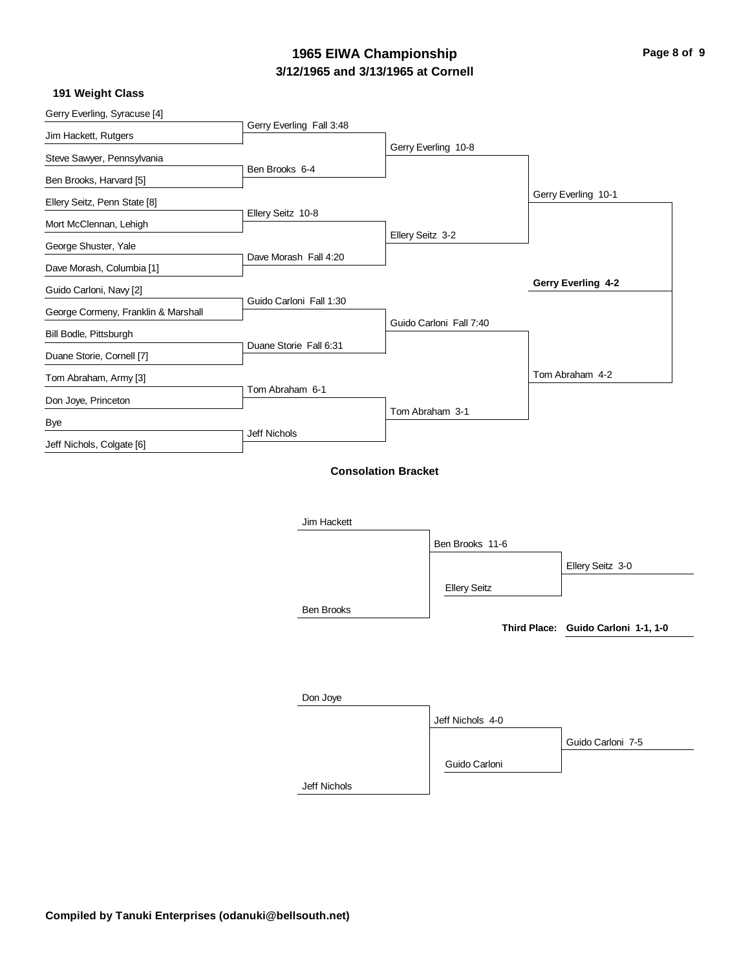# **3/12/1965 and 3/13/1965 at Cornell 1965 EIWA Championship Page 8 of 9**

### **191 Weight Class**

| Gerry Everling, Syracuse [4]        | Gerry Everling Fall 3:48   |                  |                         |                                     |
|-------------------------------------|----------------------------|------------------|-------------------------|-------------------------------------|
| Jim Hackett, Rutgers                |                            |                  |                         |                                     |
| Steve Sawyer, Pennsylvania          |                            |                  | Gerry Everling 10-8     |                                     |
| Ben Brooks, Harvard [5]             | Ben Brooks 6-4             |                  |                         |                                     |
| Ellery Seitz, Penn State [8]        |                            |                  |                         | Gerry Everling 10-1                 |
| Mort McClennan, Lehigh              | Ellery Seitz 10-8          |                  |                         |                                     |
| George Shuster, Yale                |                            | Ellery Seitz 3-2 |                         |                                     |
| Dave Morash, Columbia [1]           | Dave Morash Fall 4:20      |                  |                         |                                     |
| Guido Carloni, Navy [2]             |                            |                  |                         | Gerry Everling 4-2                  |
| George Cormeny, Franklin & Marshall | Guido Carloni Fall 1:30    |                  |                         |                                     |
| Bill Bodle, Pittsburgh              |                            |                  | Guido Carloni Fall 7:40 |                                     |
| Duane Storie, Cornell [7]           | Duane Storie Fall 6:31     |                  |                         |                                     |
| Tom Abraham, Army [3]               |                            |                  |                         | Tom Abraham 4-2                     |
| Don Joye, Princeton                 | Tom Abraham 6-1            |                  |                         |                                     |
| Bye                                 |                            |                  | Tom Abraham 3-1         |                                     |
| Jeff Nichols, Colgate [6]           | Jeff Nichols               |                  |                         |                                     |
|                                     | <b>Consolation Bracket</b> |                  |                         |                                     |
|                                     |                            |                  |                         |                                     |
|                                     |                            |                  |                         |                                     |
|                                     | Jim Hackett                |                  |                         |                                     |
|                                     |                            |                  | Ben Brooks 11-6         |                                     |
|                                     |                            |                  |                         | Ellery Seitz 3-0                    |
|                                     |                            |                  | <b>Ellery Seitz</b>     |                                     |
|                                     | <b>Ben Brooks</b>          |                  |                         |                                     |
|                                     |                            |                  |                         | Third Place: Guido Carloni 1-1, 1-0 |
|                                     |                            |                  |                         |                                     |
|                                     |                            |                  |                         |                                     |
|                                     | Don Joye                   |                  |                         |                                     |
|                                     |                            |                  | Jeff Nichols 4-0        |                                     |
|                                     |                            |                  |                         | Guido Carloni 7-5                   |
|                                     |                            |                  | Guido Carloni           |                                     |
|                                     | Jeff Nichols               |                  |                         |                                     |
|                                     |                            |                  |                         |                                     |